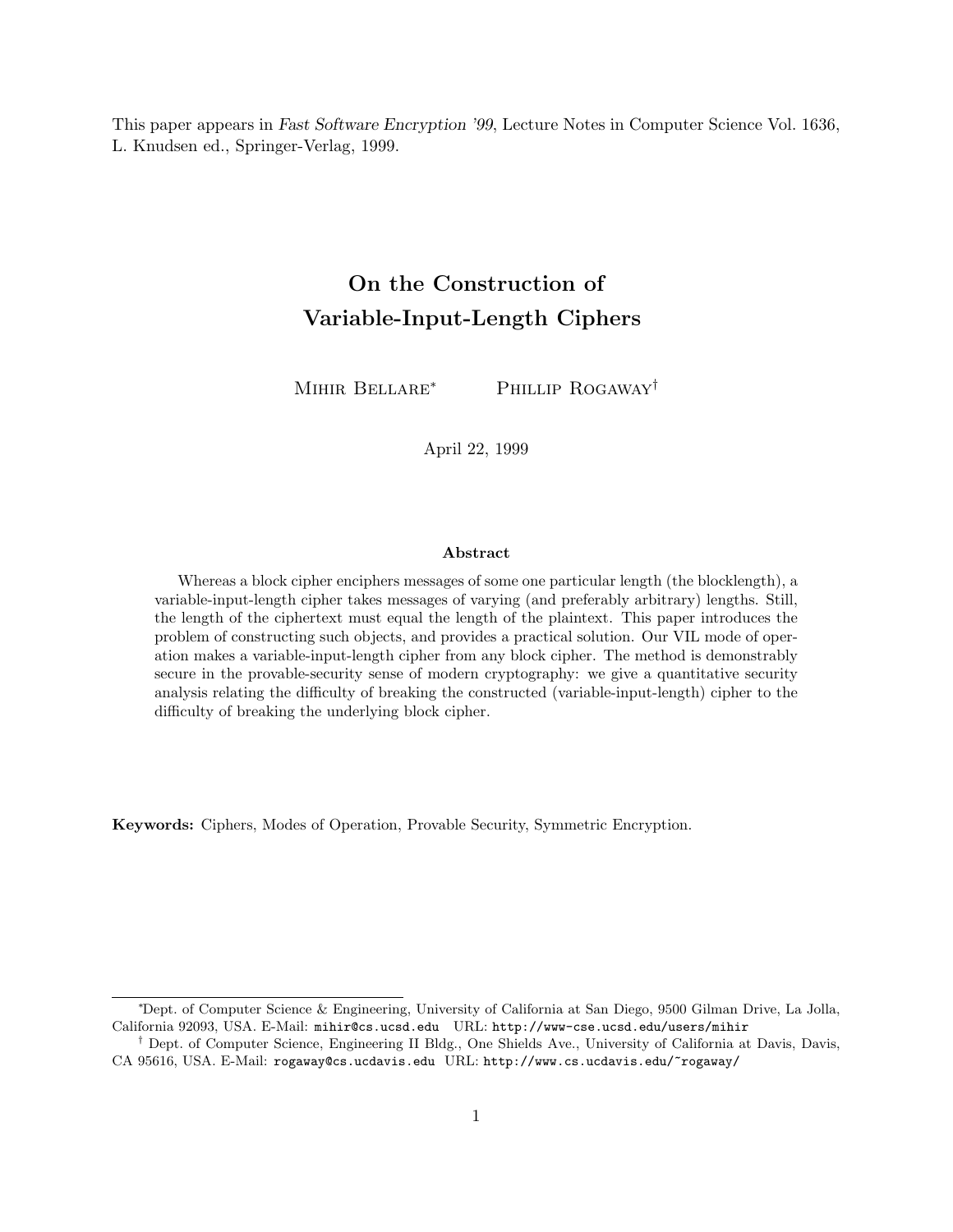This paper appears in Fast Software Encryption '99, Lecture Notes in Computer Science Vol. 1636, L. Knudsen ed., Springer-Verlag, 1999.

# On the Construction of Variable-Input-Length Ciphers

Mihir Bellare<sup>∗</sup> Phillip Rogaway†

April 22, 1999

#### Abstract

Whereas a block cipher enciphers messages of some one particular length (the blocklength), a variable-input-length cipher takes messages of varying (and preferably arbitrary) lengths. Still, the length of the ciphertext must equal the length of the plaintext. This paper introduces the problem of constructing such objects, and provides a practical solution. Our VIL mode of operation makes a variable-input-length cipher from any block cipher. The method is demonstrably secure in the provable-security sense of modern cryptography: we give a quantitative security analysis relating the difficulty of breaking the constructed (variable-input-length) cipher to the difficulty of breaking the underlying block cipher.

Keywords: Ciphers, Modes of Operation, Provable Security, Symmetric Encryption.

<sup>∗</sup>Dept. of Computer Science & Engineering, University of California at San Diego, 9500 Gilman Drive, La Jolla, California 92093, USA. E-Mail: mihir@cs.ucsd.edu URL: http://www-cse.ucsd.edu/users/mihir

<sup>†</sup> Dept. of Computer Science, Engineering II Bldg., One Shields Ave., University of California at Davis, Davis, CA 95616, USA. E-Mail: rogaway@cs.ucdavis.edu URL: http://www.cs.ucdavis.edu/~rogaway/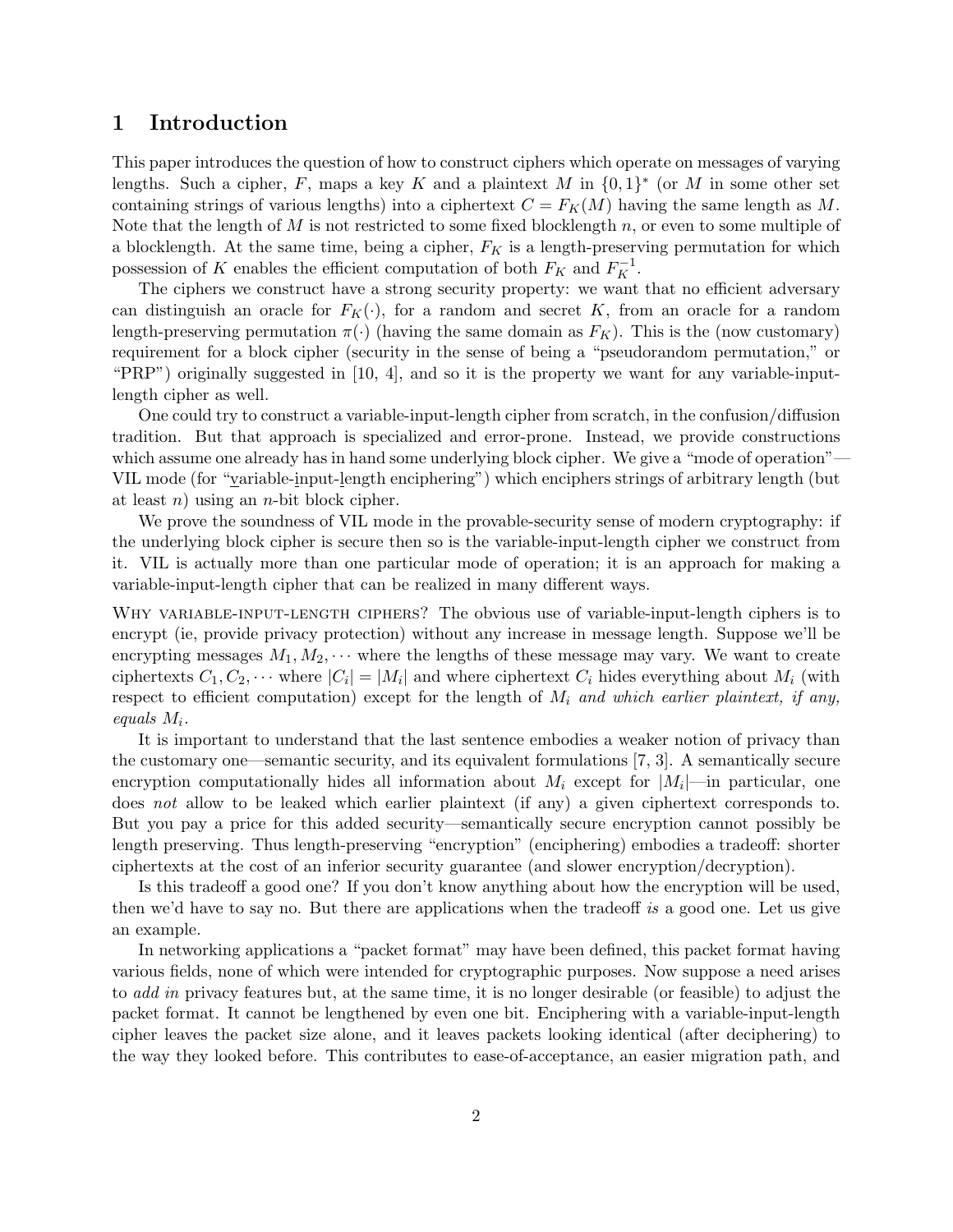# 1 Introduction

This paper introduces the question of how to construct ciphers which operate on messages of varying lengths. Such a cipher, F, maps a key K and a plaintext M in  $\{0,1\}^*$  (or M in some other set containing strings of various lengths) into a ciphertext  $C = F_K(M)$  having the same length as M. Note that the length of  $M$  is not restricted to some fixed blocklength  $n$ , or even to some multiple of a blocklength. At the same time, being a cipher,  $F_K$  is a length-preserving permutation for which possession of K enables the efficient computation of both  $F_K$  and  $F_K^{-1}$ .

The ciphers we construct have a strong security property: we want that no efficient adversary can distinguish an oracle for  $F_K(\cdot)$ , for a random and secret K, from an oracle for a random length-preserving permutation  $\pi(\cdot)$  (having the same domain as  $F_K$ ). This is the (now customary) requirement for a block cipher (security in the sense of being a "pseudorandom permutation," or "PRP") originally suggested in [10, 4], and so it is the property we want for any variable-inputlength cipher as well.

One could try to construct a variable-input-length cipher from scratch, in the confusion/diffusion tradition. But that approach is specialized and error-prone. Instead, we provide constructions which assume one already has in hand some underlying block cipher. We give a "mode of operation"-VIL mode (for "variable-input-length enciphering") which enciphers strings of arbitrary length (but at least n) using an *n*-bit block cipher.

We prove the soundness of VIL mode in the provable-security sense of modern cryptography: if the underlying block cipher is secure then so is the variable-input-length cipher we construct from it. VIL is actually more than one particular mode of operation; it is an approach for making a variable-input-length cipher that can be realized in many different ways.

Why variable-input-length ciphers? The obvious use of variable-input-length ciphers is to encrypt (ie, provide privacy protection) without any increase in message length. Suppose we'll be encrypting messages  $M_1, M_2, \cdots$  where the lengths of these message may vary. We want to create ciphertexts  $C_1, C_2, \cdots$  where  $|C_i| = |M_i|$  and where ciphertext  $C_i$  hides everything about  $M_i$  (with respect to efficient computation) except for the length of  $M_i$  and which earlier plaintext, if any, equals  $M_i$ .

It is important to understand that the last sentence embodies a weaker notion of privacy than the customary one—semantic security, and its equivalent formulations [7, 3]. A semantically secure encryption computationally hides all information about  $M_i$  except for  $|M_i|$ —in particular, one does not allow to be leaked which earlier plaintext (if any) a given ciphertext corresponds to. But you pay a price for this added security—semantically secure encryption cannot possibly be length preserving. Thus length-preserving "encryption" (enciphering) embodies a tradeoff: shorter ciphertexts at the cost of an inferior security guarantee (and slower encryption/decryption).

Is this tradeoff a good one? If you don't know anything about how the encryption will be used, then we'd have to say no. But there are applications when the tradeoff is a good one. Let us give an example.

In networking applications a "packet format" may have been defined, this packet format having various fields, none of which were intended for cryptographic purposes. Now suppose a need arises to add in privacy features but, at the same time, it is no longer desirable (or feasible) to adjust the packet format. It cannot be lengthened by even one bit. Enciphering with a variable-input-length cipher leaves the packet size alone, and it leaves packets looking identical (after deciphering) to the way they looked before. This contributes to ease-of-acceptance, an easier migration path, and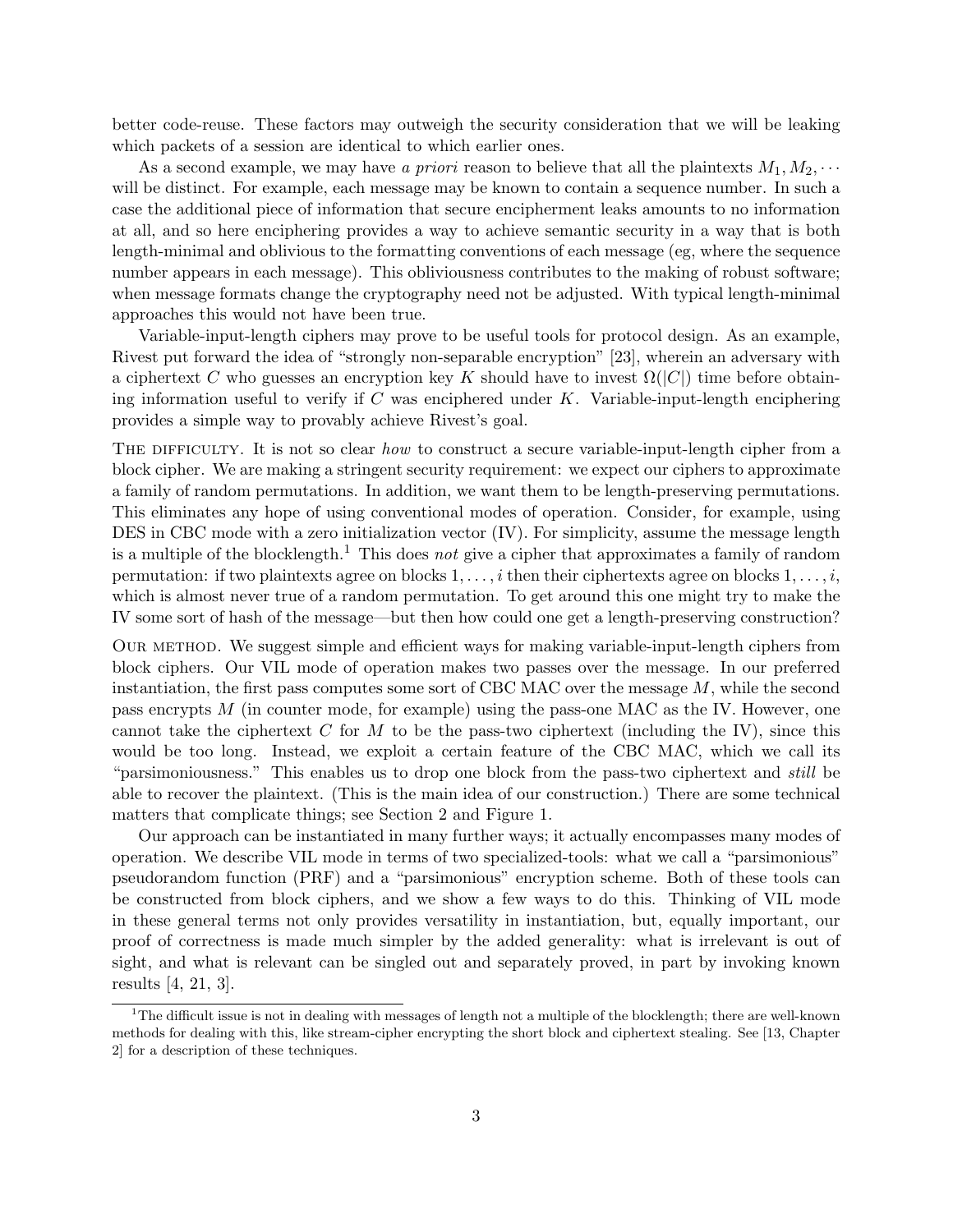better code-reuse. These factors may outweigh the security consideration that we will be leaking which packets of a session are identical to which earlier ones.

As a second example, we may have a priori reason to believe that all the plaintexts  $M_1, M_2, \cdots$ will be distinct. For example, each message may be known to contain a sequence number. In such a case the additional piece of information that secure encipherment leaks amounts to no information at all, and so here enciphering provides a way to achieve semantic security in a way that is both length-minimal and oblivious to the formatting conventions of each message (eg, where the sequence number appears in each message). This obliviousness contributes to the making of robust software; when message formats change the cryptography need not be adjusted. With typical length-minimal approaches this would not have been true.

Variable-input-length ciphers may prove to be useful tools for protocol design. As an example, Rivest put forward the idea of "strongly non-separable encryption" [23], wherein an adversary with a ciphertext C who guesses an encryption key K should have to invest  $\Omega(|C|)$  time before obtaining information useful to verify if  $C$  was enciphered under  $K$ . Variable-input-length enciphering provides a simple way to provably achieve Rivest's goal.

THE DIFFICULTY. It is not so clear how to construct a secure variable-input-length cipher from a block cipher. We are making a stringent security requirement: we expect our ciphers to approximate a family of random permutations. In addition, we want them to be length-preserving permutations. This eliminates any hope of using conventional modes of operation. Consider, for example, using DES in CBC mode with a zero initialization vector (IV). For simplicity, assume the message length is a multiple of the blocklength.<sup>1</sup> This does not give a cipher that approximates a family of random permutation: if two plaintexts agree on blocks  $1, \ldots, i$  then their ciphertexts agree on blocks  $1, \ldots, i$ , which is almost never true of a random permutation. To get around this one might try to make the IV some sort of hash of the message—but then how could one get a length-preserving construction?

Our method. We suggest simple and efficient ways for making variable-input-length ciphers from block ciphers. Our VIL mode of operation makes two passes over the message. In our preferred instantiation, the first pass computes some sort of CBC MAC over the message  $M$ , while the second pass encrypts M (in counter mode, for example) using the pass-one MAC as the IV. However, one cannot take the ciphertext  $C$  for  $M$  to be the pass-two ciphertext (including the IV), since this would be too long. Instead, we exploit a certain feature of the CBC MAC, which we call its "parsimoniousness." This enables us to drop one block from the pass-two ciphertext and *still* be able to recover the plaintext. (This is the main idea of our construction.) There are some technical matters that complicate things; see Section 2 and Figure 1.

Our approach can be instantiated in many further ways; it actually encompasses many modes of operation. We describe VIL mode in terms of two specialized-tools: what we call a "parsimonious" pseudorandom function (PRF) and a "parsimonious" encryption scheme. Both of these tools can be constructed from block ciphers, and we show a few ways to do this. Thinking of VIL mode in these general terms not only provides versatility in instantiation, but, equally important, our proof of correctness is made much simpler by the added generality: what is irrelevant is out of sight, and what is relevant can be singled out and separately proved, in part by invoking known results [4, 21, 3].

 $1<sup>1</sup>$ The difficult issue is not in dealing with messages of length not a multiple of the blocklength; there are well-known methods for dealing with this, like stream-cipher encrypting the short block and ciphertext stealing. See [13, Chapter 2] for a description of these techniques.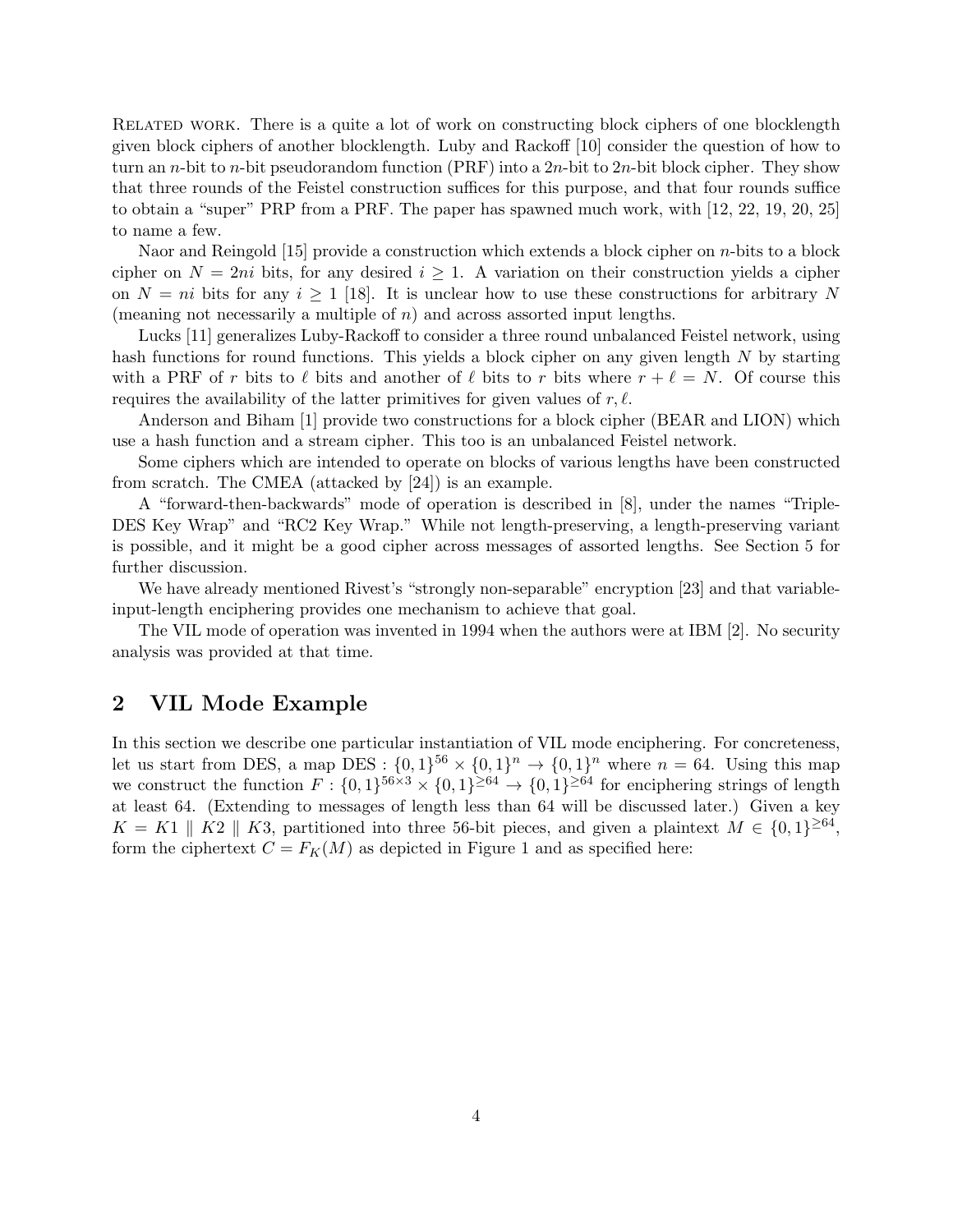RELATED WORK. There is a quite a lot of work on constructing block ciphers of one blocklength given block ciphers of another blocklength. Luby and Rackoff [10] consider the question of how to turn an *n*-bit to *n*-bit pseudorandom function (PRF) into a 2*n*-bit to 2*n*-bit block cipher. They show that three rounds of the Feistel construction suffices for this purpose, and that four rounds suffice to obtain a "super" PRP from a PRF. The paper has spawned much work, with [12, 22, 19, 20, 25] to name a few.

Naor and Reingold [15] provide a construction which extends a block cipher on n-bits to a block cipher on  $N = 2ni$  bits, for any desired  $i \geq 1$ . A variation on their construction yields a cipher on  $N = ni$  bits for any  $i \ge 1$  [18]. It is unclear how to use these constructions for arbitrary N (meaning not necessarily a multiple of  $n$ ) and across assorted input lengths.

Lucks [11] generalizes Luby-Rackoff to consider a three round unbalanced Feistel network, using hash functions for round functions. This yields a block cipher on any given length N by starting with a PRF of r bits to  $\ell$  bits and another of  $\ell$  bits to r bits where  $r + \ell = N$ . Of course this requires the availability of the latter primitives for given values of  $r, \ell$ .

Anderson and Biham [1] provide two constructions for a block cipher (BEAR and LION) which use a hash function and a stream cipher. This too is an unbalanced Feistel network.

Some ciphers which are intended to operate on blocks of various lengths have been constructed from scratch. The CMEA (attacked by [24]) is an example.

A "forward-then-backwards" mode of operation is described in [8], under the names "Triple-DES Key Wrap" and "RC2 Key Wrap." While not length-preserving, a length-preserving variant is possible, and it might be a good cipher across messages of assorted lengths. See Section 5 for further discussion.

We have already mentioned Rivest's "strongly non-separable" encryption [23] and that variableinput-length enciphering provides one mechanism to achieve that goal.

The VIL mode of operation was invented in 1994 when the authors were at IBM [2]. No security analysis was provided at that time.

# 2 VIL Mode Example

In this section we describe one particular instantiation of VIL mode enciphering. For concreteness, let us start from DES, a map DES :  $\{0,1\}^{56} \times \{0,1\}^n \rightarrow \{0,1\}^n$  where  $n = 64$ . Using this map we construct the function  $F: \{0,1\}^{56\times3}\times\{0,1\}^{\geq64} \to \{0,1\}^{\geq64}$  for enciphering strings of length at least 64. (Extending to messages of length less than 64 will be discussed later.) Given a key  $K = K1 \parallel K2 \parallel K3$ , partitioned into three 56-bit pieces, and given a plaintext  $M \in \{0,1\}^{\geq 64}$ , form the ciphertext  $C = F_K(M)$  as depicted in Figure 1 and as specified here: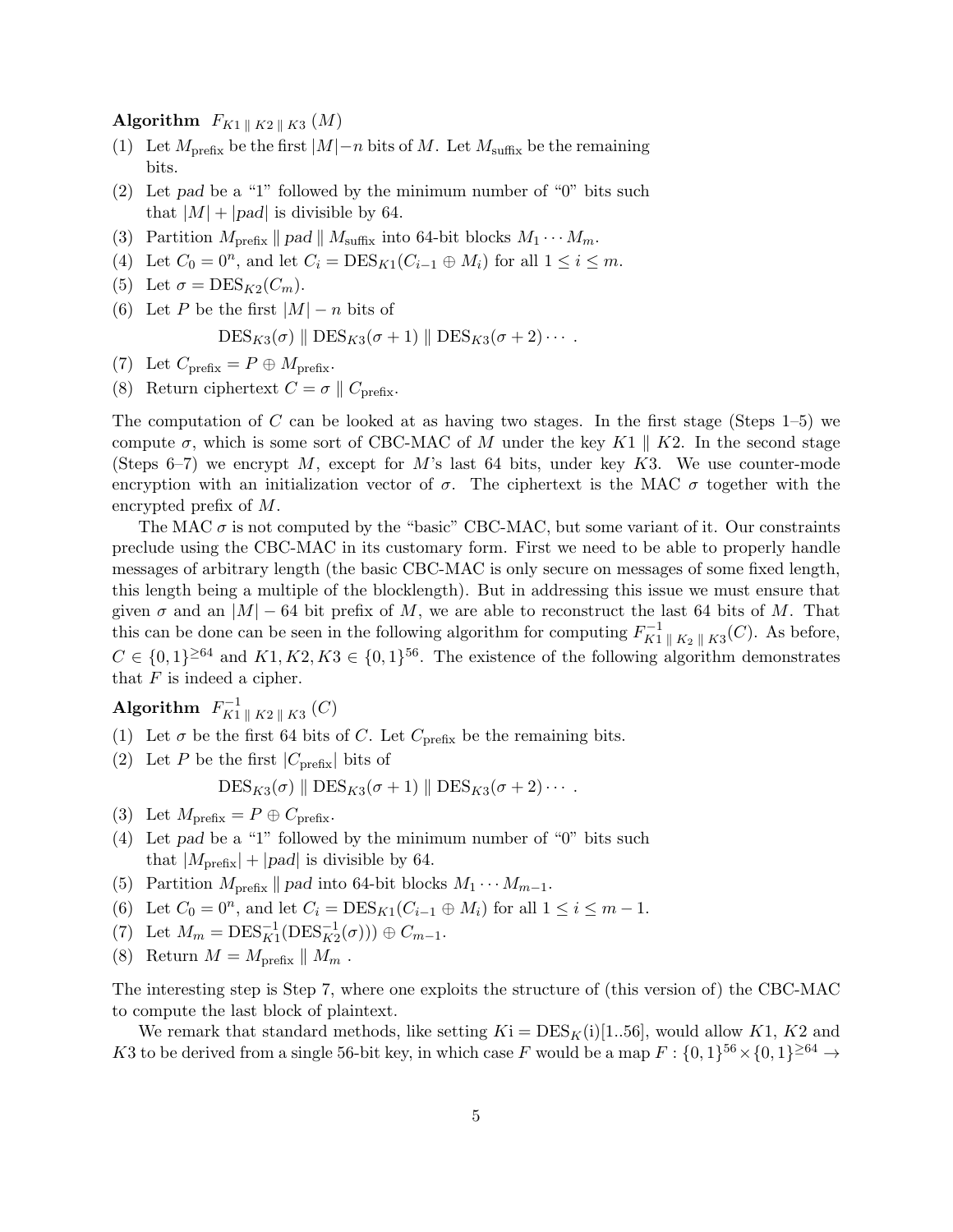### Algorithm  $F_{K1 \parallel K2 \parallel K3} \left( M \right)$

- (1) Let  $M_{\text{prefix}}$  be the first  $|M|-n$  bits of M. Let  $M_{\text{suffix}}$  be the remaining bits.
- (2) Let pad be a "1" followed by the minimum number of "0" bits such that  $|M| + |pad|$  is divisible by 64.
- (3) Partition  $M_{\text{prefix}}$  || pad ||  $M_{\text{suffix}}$  into 64-bit blocks  $M_1 \cdots M_m$ .
- (4) Let  $C_0 = 0^n$ , and let  $C_i = \text{DES}_{K1}(C_{i-1} \oplus M_i)$  for all  $1 \leq i \leq m$ .
- (5) Let  $\sigma = \text{DES}_{K2}(C_m)$ .
- (6) Let P be the first  $|M| n$  bits of

 $DES_{K3}(\sigma) \parallel DES_{K3}(\sigma+1) \parallel DES_{K3}(\sigma+2)\cdots$ .

- (7) Let  $C_{\text{prefix}} = P \oplus M_{\text{prefix}}$ .
- (8) Return ciphertext  $C = \sigma \parallel C_{\text{prefix}}$ .

The computation of C can be looked at as having two stages. In the first stage (Steps  $1-5$ ) we compute  $\sigma$ , which is some sort of CBC-MAC of M under the key K1 || K2. In the second stage (Steps 6–7) we encrypt M, except for M's last 64 bits, under key K3. We use counter-mode encryption with an initialization vector of  $\sigma$ . The ciphertext is the MAC  $\sigma$  together with the encrypted prefix of M.

The MAC  $\sigma$  is not computed by the "basic" CBC-MAC, but some variant of it. Our constraints preclude using the CBC-MAC in its customary form. First we need to be able to properly handle messages of arbitrary length (the basic CBC-MAC is only secure on messages of some fixed length, this length being a multiple of the blocklength). But in addressing this issue we must ensure that given  $\sigma$  and an  $|M| - 64$  bit prefix of M, we are able to reconstruct the last 64 bits of M. That this can be done can be seen in the following algorithm for computing  $F_{K_1}^{-1}$  $K_1 \| K_2 \| K_3(C)$ . As before,  $C \in \{0,1\}^{\geq 64}$  and  $K1, K2, K3 \in \{0,1\}^{56}$ . The existence of the following algorithm demonstrates that  $F$  is indeed a cipher.

Algorithm  $F_{K1}^{-1}$  $\frac{K-1}{K1\parallel K2\parallel K3} \left(C\right)$ 

- (1) Let  $\sigma$  be the first 64 bits of C. Let  $C_{\text{prefix}}$  be the remaining bits.
- (2) Let P be the first  $|C_{\text{prefix}}|$  bits of

$$
DES_{K3}(\sigma) \parallel DES_{K3}(\sigma+1) \parallel DES_{K3}(\sigma+2)\cdots
$$

- (3) Let  $M_{\text{prefix}} = P \oplus C_{\text{prefix}}$ .
- (4) Let pad be a "1" followed by the minimum number of "0" bits such that  $|M_{\text{prefix}}| + |pad|$  is divisible by 64.
- (5) Partition  $M_{\text{prefix}}$  | pad into 64-bit blocks  $M_1 \cdots M_{m-1}$ .
- (6) Let  $C_0 = 0^n$ , and let  $C_i = \text{DES}_{K1}(C_{i-1} \oplus M_i)$  for all  $1 \le i \le m-1$ .
- (7) Let  $M_m = \text{DES}_{K1}^{-1}(\text{DES}_{K2}^{-1}(\sigma))) \oplus C_{m-1}.$
- (8) Return  $M = M_{\text{prefix}} || M_m$ .

The interesting step is Step 7, where one exploits the structure of (this version of) the CBC-MAC to compute the last block of plaintext.

We remark that standard methods, like setting  $Ki = DES_K(i)[1..56]$ , would allow  $K1$ ,  $K2$  and K3 to be derived from a single 56-bit key, in which case F would be a map  $F: \{0,1\}^{56} \times \{0,1\}^{\geq 64} \to$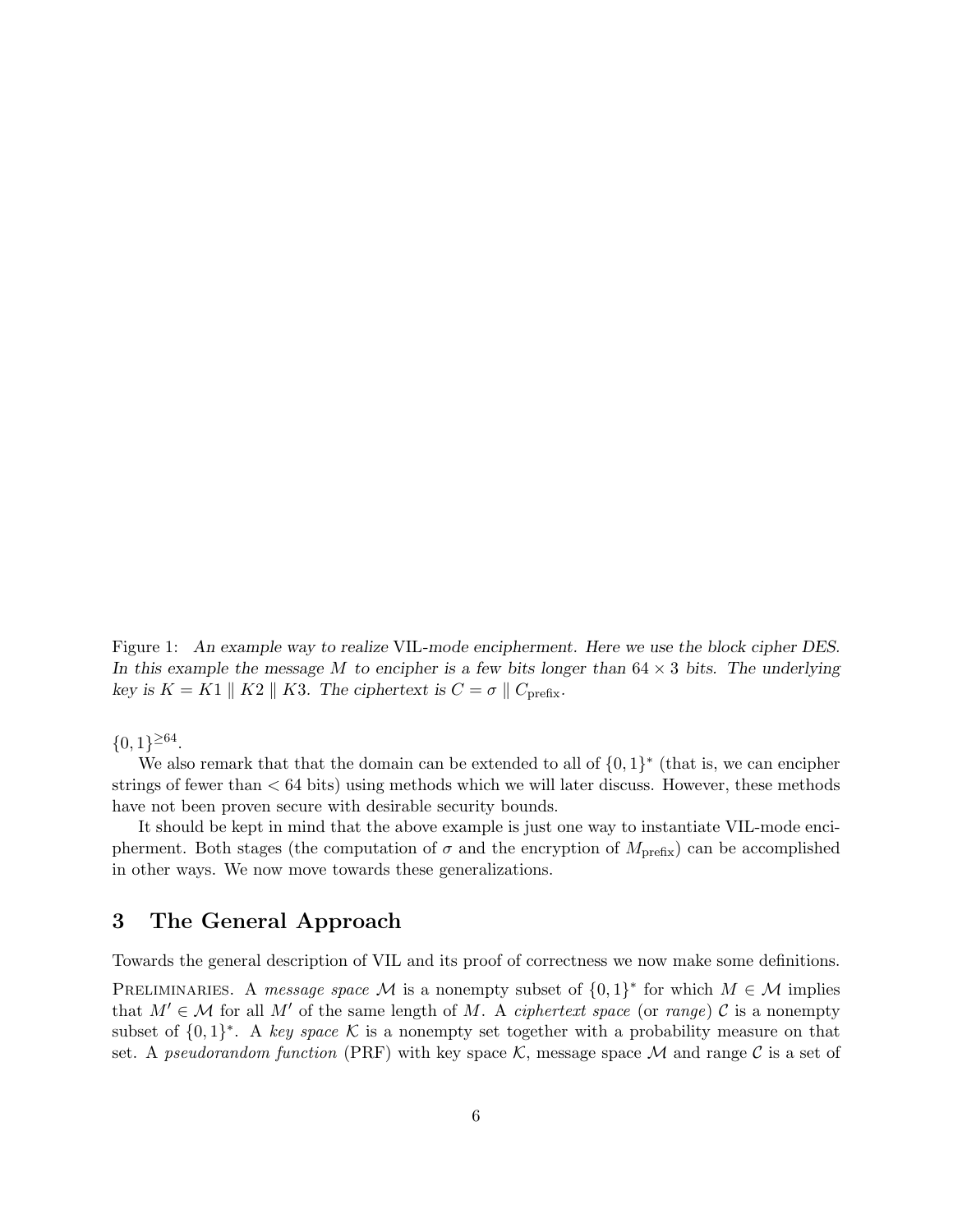Figure 1: An example way to realize VIL-mode encipherment. Here we use the block cipher DES. In this example the message M to encipher is a few bits longer than  $64 \times 3$  bits. The underlying key is  $K = K1 \parallel K2 \parallel K3$ . The ciphertext is  $C = \sigma \parallel C_{\text{prefix}}$ .

## $\{0,1\}^{\geq 64}.$

We also remark that that the domain can be extended to all of  $\{0,1\}^*$  (that is, we can encipher strings of fewer than  $< 64$  bits) using methods which we will later discuss. However, these methods have not been proven secure with desirable security bounds.

It should be kept in mind that the above example is just one way to instantiate VIL-mode encipherment. Both stages (the computation of  $\sigma$  and the encryption of  $M_{\text{prefix}}$ ) can be accomplished in other ways. We now move towards these generalizations.

# 3 The General Approach

Towards the general description of VIL and its proof of correctness we now make some definitions.

PRELIMINARIES. A message space M is a nonempty subset of  $\{0,1\}^*$  for which  $M \in \mathcal{M}$  implies that  $M' \in \mathcal{M}$  for all M' of the same length of M. A *ciphertext space* (or range) C is a nonempty subset of  $\{0,1\}^*$ . A key space K is a nonempty set together with a probability measure on that set. A pseudorandom function (PRF) with key space  $K$ , message space M and range C is a set of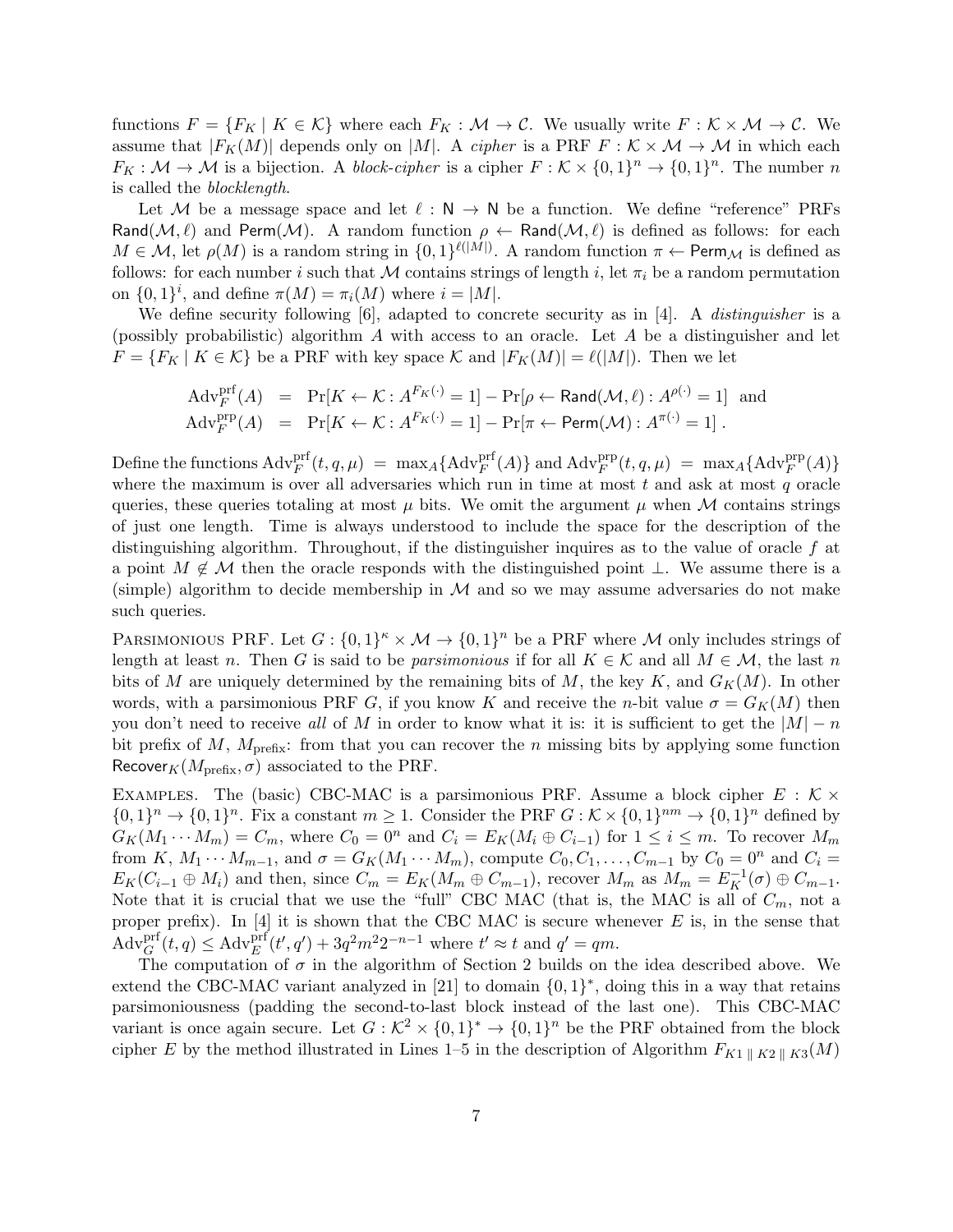functions  $F = \{F_K \mid K \in \mathcal{K}\}\$  where each  $F_K : \mathcal{M} \to \mathcal{C}\$ . We usually write  $F : \mathcal{K} \times \mathcal{M} \to \mathcal{C}\$ . We assume that  $|F_K(M)|$  depends only on |M|. A cipher is a PRF  $F : \mathcal{K} \times \mathcal{M} \to \mathcal{M}$  in which each  $F_K: \mathcal{M} \to \mathcal{M}$  is a bijection. A *block-cipher* is a cipher  $F: \mathcal{K} \times \{0,1\}^n \to \{0,1\}^n$ . The number n is called the blocklength.

Let M be a message space and let  $\ell : N \to N$  be a function. We define "reference" PRFs Rand( $M, \ell$ ) and Perm( $M$ ). A random function  $\rho \leftarrow \text{Rand}(M, \ell)$  is defined as follows: for each  $M \in \mathcal{M}$ , let  $\rho(M)$  is a random string in  $\{0,1\}^{\ell(|M|)}$ . A random function  $\pi \leftarrow \text{Perm}_{\mathcal{M}}$  is defined as follows: for each number i such that M contains strings of length i, let  $\pi_i$  be a random permutation on  $\{0,1\}^i$ , and define  $\pi(M) = \pi_i(M)$  where  $i = |M|$ .

We define security following [6], adapted to concrete security as in [4]. A *distinguisher* is a (possibly probabilistic) algorithm A with access to an oracle. Let A be a distinguisher and let  $F = \{F_K \mid K \in \mathcal{K}\}\$ be a PRF with key space  $\mathcal{K}$  and  $|F_K(M)| = \ell(|M|)$ . Then we let

$$
Adv_F^{\text{prf}}(A) = \Pr[K \leftarrow \mathcal{K} : A^{F_K(\cdot)} = 1] - \Pr[\rho \leftarrow \text{Rand}(\mathcal{M}, \ell) : A^{\rho(\cdot)} = 1] \text{ and } \text{Adv}_F^{\text{prp}}(A) = \Pr[K \leftarrow \mathcal{K} : A^{F_K(\cdot)} = 1] - \Pr[\pi \leftarrow \text{Perm}(\mathcal{M}) : A^{\pi(\cdot)} = 1].
$$

Define the functions  $\mathrm{Adv}_{F}^{\mathrm{prf}}(t,q,\mu) = \max_{A} \{\mathrm{Adv}_{F}^{\mathrm{prf}}(A)\}\$  and  $\mathrm{Adv}_{F}^{\mathrm{prp}}(t,q,\mu) = \max_{A} \{\mathrm{Adv}_{F}^{\mathrm{prp}}(A)\}$ where the maximum is over all adversaries which run in time at most  $t$  and ask at most  $q$  oracle queries, these queries totaling at most  $\mu$  bits. We omit the argument  $\mu$  when M contains strings of just one length. Time is always understood to include the space for the description of the distinguishing algorithm. Throughout, if the distinguisher inquires as to the value of oracle  $f$  at a point  $M \notin \mathcal{M}$  then the oracle responds with the distinguished point  $\perp$ . We assume there is a (simple) algorithm to decide membership in  $M$  and so we may assume adversaries do not make such queries.

PARSIMONIOUS PRF. Let  $G: \{0,1\}^k \times \mathcal{M} \to \{0,1\}^n$  be a PRF where M only includes strings of length at least n. Then G is said to be parsimonious if for all  $K \in \mathcal{K}$  and all  $M \in \mathcal{M}$ , the last n bits of M are uniquely determined by the remaining bits of M, the key K, and  $G_K(M)$ . In other words, with a parsimonious PRF G, if you know K and receive the n-bit value  $\sigma = G_K(M)$  then you don't need to receive all of M in order to know what it is: it is sufficient to get the  $|M| - n$ bit prefix of M,  $M_{\text{prefix}}$ : from that you can recover the n missing bits by applying some function Recover<sub>K</sub> $(M_{\text{prefix}}, \sigma)$  associated to the PRF.

EXAMPLES. The (basic) CBC-MAC is a parsimonious PRF. Assume a block cipher  $E : K \times$  $\{0,1\}^n \to \{0,1\}^n$ . Fix a constant  $m \geq 1$ . Consider the PRF  $G : \mathcal{K} \times \{0,1\}^{nm} \to \{0,1\}^n$  defined by  $G_K(M_1 \cdots M_m) = C_m$ , where  $C_0 = 0^n$  and  $C_i = E_K(M_i \oplus C_{i-1})$  for  $1 \le i \le m$ . To recover  $M_m$ from K,  $M_1 \cdots M_{m-1}$ , and  $\sigma = G_K(M_1 \cdots M_m)$ , compute  $C_0, C_1, \ldots, C_{m-1}$  by  $C_0 = 0^n$  and  $C_i =$  $E_K(C_{i-1}\oplus M_i)$  and then, since  $C_m = E_K(M_m \oplus C_{m-1})$ , recover  $M_m$  as  $M_m = E_K^{-1}(\sigma) \oplus C_{m-1}$ . Note that it is crucial that we use the "full" CBC MAC (that is, the MAC is all of  $C_m$ , not a proper prefix). In  $[4]$  it is shown that the CBC MAC is secure whenever E is, in the sense that  $\text{Adv}_{G}^{\text{prf}}(t,q) \leq \text{Adv}_{E}^{\text{prf}}(t',q') + 3q^2m^22^{-n-1}$  where  $t' \approx t$  and  $q' = qm$ .

The computation of  $\sigma$  in the algorithm of Section 2 builds on the idea described above. We extend the CBC-MAC variant analyzed in  $[21]$  to domain  $\{0,1\}^*$ , doing this in a way that retains parsimoniousness (padding the second-to-last block instead of the last one). This CBC-MAC variant is once again secure. Let  $G: \mathcal{K}^2 \times \{0,1\}^* \to \{0,1\}^n$  be the PRF obtained from the block cipher E by the method illustrated in Lines 1–5 in the description of Algorithm  $F_{K1 \parallel K2 \parallel K3}(M)$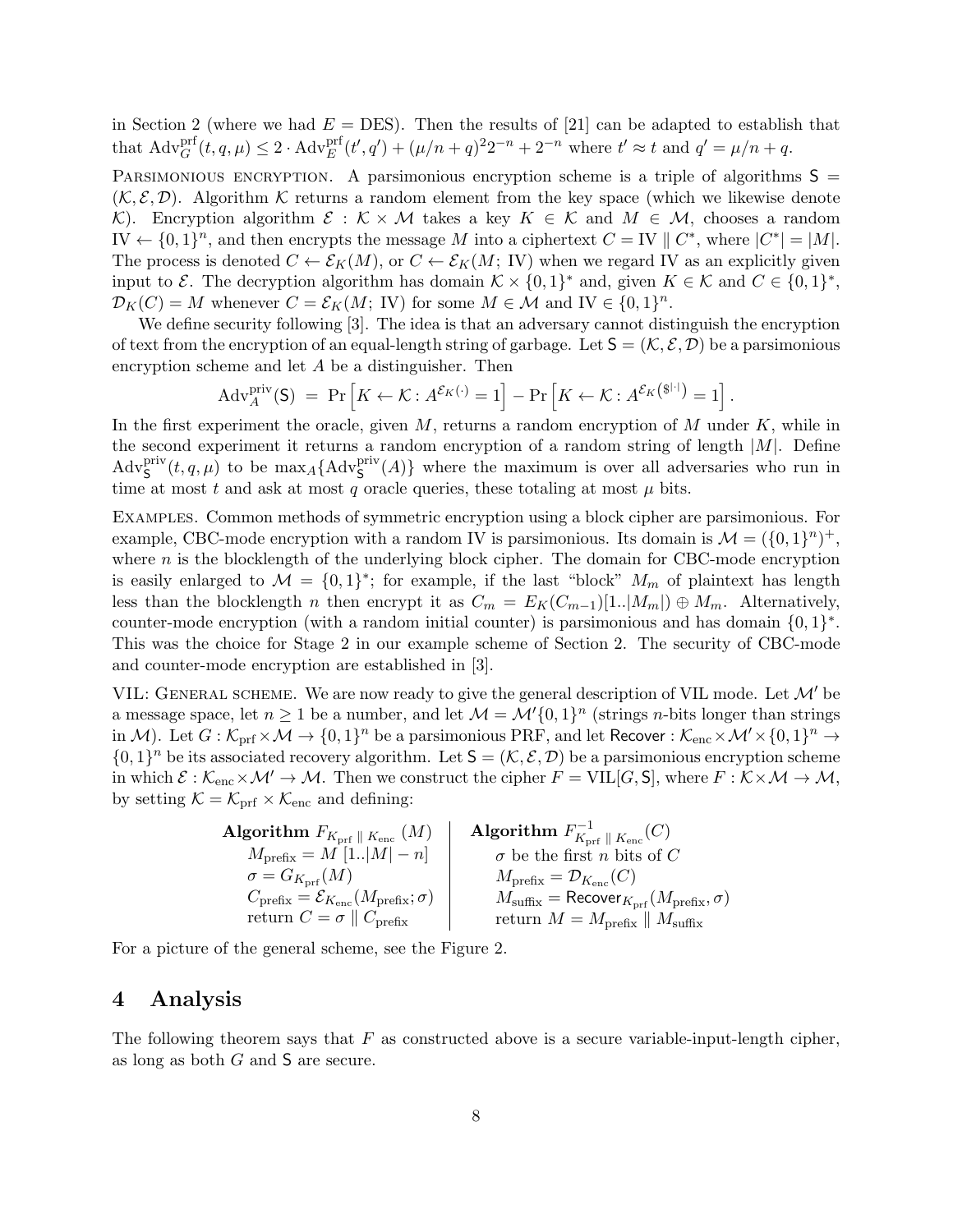in Section 2 (where we had  $E =$  DES). Then the results of [21] can be adapted to establish that that  $\mathrm{Adv}_{G}^{\mathrm{prf}}(t, q, \mu) \leq 2 \cdot \mathrm{Adv}_{E}^{\mathrm{prf}}(t', q') + (\mu/n + q)^{2}2^{-n} + 2^{-n}$  where  $t' \approx t$  and  $q' = \mu/n + q$ .

PARSIMONIOUS ENCRYPTION. A parsimonious encryption scheme is a triple of algorithms  $S =$  $(\mathcal{K}, \mathcal{E}, \mathcal{D})$ . Algorithm K returns a random element from the key space (which we likewise denote K). Encryption algorithm  $\mathcal{E}: \mathcal{K} \times \mathcal{M}$  takes a key  $K \in \mathcal{K}$  and  $M \in \mathcal{M}$ , chooses a random IV  $\leftarrow \{0,1\}^n$ , and then encrypts the message M into a ciphertext  $C = V \parallel C^*$ , where  $|C^*| = |M|$ . The process is denoted  $C \leftarrow \mathcal{E}_K(M)$ , or  $C \leftarrow \mathcal{E}_K(M; \text{ IV})$  when we regard IV as an explicitly given input to  $\mathcal{E}$ . The decryption algorithm has domain  $\mathcal{K} \times \{0,1\}^*$  and, given  $K \in \mathcal{K}$  and  $C \in \{0,1\}^*$ ,  $\mathcal{D}_K(C) = M$  whenever  $C = \mathcal{E}_K(M; W)$  for some  $M \in \mathcal{M}$  and  $IV \in \{0, 1\}^n$ .

We define security following [3]. The idea is that an adversary cannot distinguish the encryption of text from the encryption of an equal-length string of garbage. Let  $\mathsf{S} = (\mathcal{K}, \mathcal{E}, \mathcal{D})$  be a parsimonious encryption scheme and let A be a distinguisher. Then

$$
Adv_A^{\text{priv}}(\mathsf{S}) = \Pr\left[K \leftarrow \mathcal{K} : A^{\mathcal{E}_K(\cdot)} = 1\right] - \Pr\left[K \leftarrow \mathcal{K} : A^{\mathcal{E}_K\left(\$^{|\cdot|}\right)} = 1\right].
$$

In the first experiment the oracle, given  $M$ , returns a random encryption of  $M$  under  $K$ , while in the second experiment it returns a random encryption of a random string of length  $|M|$ . Define  $\text{Adv}_{\mathsf{S}}^{\text{priv}}(t, q, \mu)$  to be  $\max_A \{\text{Adv}_{\mathsf{S}}^{\text{priv}}(A)\}\$  where the maximum is over all adversaries who run in time at most t and ask at most q oracle queries, these totaling at most  $\mu$  bits.

Examples. Common methods of symmetric encryption using a block cipher are parsimonious. For example, CBC-mode encryption with a random IV is parsimonious. Its domain is  $\mathcal{M} = (\{0, 1\}^n)^+,$ where  $n$  is the blocklength of the underlying block cipher. The domain for CBC-mode encryption is easily enlarged to  $\mathcal{M} = \{0, 1\}^*$ ; for example, if the last "block"  $M_m$  of plaintext has length less than the blocklength *n* then encrypt it as  $C_m = E_K(C_{m-1})[1..|M_m|] \oplus M_m$ . Alternatively, counter-mode encryption (with a random initial counter) is parsimonious and has domain  $\{0,1\}^*$ . This was the choice for Stage 2 in our example scheme of Section 2. The security of CBC-mode and counter-mode encryption are established in [3].

VIL: GENERAL SCHEME. We are now ready to give the general description of VIL mode. Let  $\mathcal{M}'$  be a message space, let  $n \geq 1$  be a number, and let  $\mathcal{M} = \mathcal{M}'\{0, 1\}^n$  (strings *n*-bits longer than strings in M). Let  $G: \mathcal{K}_{\text{prf}} \times \mathcal{M} \to \{0,1\}^n$  be a parsimonious PRF, and let Recover :  $\mathcal{K}_{\text{enc}} \times \mathcal{M}' \times \{0,1\}^n \to$  $\{0,1\}^n$  be its associated recovery algorithm. Let  $S = (\mathcal{K}, \mathcal{E}, \mathcal{D})$  be a parsimonious encryption scheme in which  $\mathcal{E}: \mathcal{K}_{\text{enc}} \times \mathcal{M}' \to \mathcal{M}$ . Then we construct the cipher  $F = \text{VIL}[G, \mathsf{S}]$ , where  $F: \mathcal{K} \times \mathcal{M} \to \mathcal{M}$ , by setting  $K = \mathcal{K}_{\text{prf}} \times \mathcal{K}_{\text{enc}}$  and defining:

| Algorithm $F_{K_{\text{prf}} \parallel K_{\text{enc}}}(M)$                    | Algorithm $F_{K_{\text{prf}} \parallel K_{\text{enc}}}(C)$                       |
|-------------------------------------------------------------------------------|----------------------------------------------------------------------------------|
| $M_{\text{prefix}} = M [1.. M  - n]$                                          | $\sigma$ be the first <i>n</i> bits of $C$                                       |
| $\sigma = G_{K_{\text{prf}}}(M)$                                              | $M_{\text{prefix}} = \mathcal{D}_{K_{\text{enc}}}(C)$                            |
| $C_{\text{prefix}} = \mathcal{E}_{K_{\text{enc}}}(M_{\text{prefix}}; \sigma)$ | $M_{\text{suffix}} = \text{Recover}_{K_{\text{prf}}}(M_{\text{prefix}}, \sigma)$ |
| return $C = \sigma \parallel C_{\text{prefix}}$                               | return $M = M_{\text{prefix}} \parallel M_{\text{suffix}}$                       |

For a picture of the general scheme, see the Figure 2.

# 4 Analysis

The following theorem says that  $F$  as constructed above is a secure variable-input-length cipher, as long as both G and S are secure.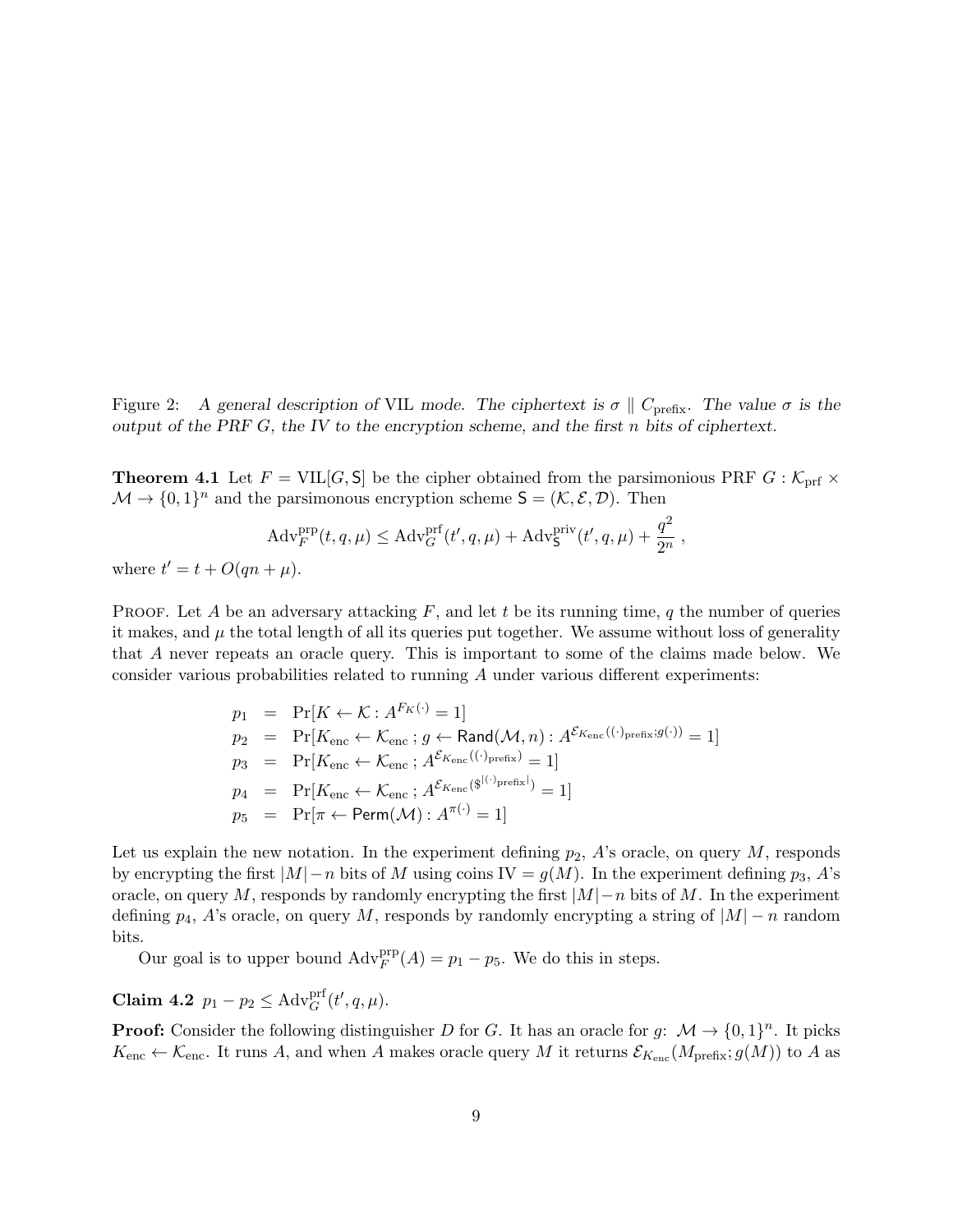Figure 2: A general description of VIL mode. The ciphertext is  $\sigma \parallel C_{\text{prefix}}$ . The value  $\sigma$  is the output of the PRF  $G$ , the IV to the encryption scheme, and the first n bits of ciphertext.

**Theorem 4.1** Let  $F = \text{VIL}[G, \mathsf{S}]$  be the cipher obtained from the parsimonious PRF  $G : \mathcal{K}_{\text{prf}} \times$  $\mathcal{M} \to \{0,1\}^n$  and the parsimonous encryption scheme  $\mathsf{S} = (\mathcal{K}, \mathcal{E}, \mathcal{D})$ . Then

$$
\mathrm{Adv}_{F}^{\mathrm{prp}}(t,q,\mu) \leq \mathrm{Adv}_{G}^{\mathrm{prf}}(t',q,\mu) + \mathrm{Adv}_{\mathsf{S}}^{\mathrm{priv}}(t',q,\mu) + \frac{q^2}{2^n} ,
$$

where  $t' = t + O(qn + \mu)$ .

PROOF. Let A be an adversary attacking F, and let t be its running time, q the number of queries it makes, and  $\mu$  the total length of all its queries put together. We assume without loss of generality that A never repeats an oracle query. This is important to some of the claims made below. We consider various probabilities related to running A under various different experiments:

$$
p_1 = \Pr[K \leftarrow \mathcal{K} : A^{F_K(\cdot)} = 1]
$$
  
\n
$$
p_2 = \Pr[K_{\text{enc}} \leftarrow \mathcal{K}_{\text{enc}} : g \leftarrow \text{Rand}(\mathcal{M}, n) : A^{\mathcal{E}_{K_{\text{enc}}}((\cdot)_{\text{prefix}}; g(\cdot))} = 1]
$$
  
\n
$$
p_3 = \Pr[K_{\text{enc}} \leftarrow \mathcal{K}_{\text{enc}} : A^{\mathcal{E}_{K_{\text{enc}}}((\cdot)_{\text{prefix}})} = 1]
$$
  
\n
$$
p_4 = \Pr[K_{\text{enc}} \leftarrow \mathcal{K}_{\text{enc}} : A^{\mathcal{E}_{K_{\text{enc}}}(\$ | (\cdot)_{\text{prefix}})} = 1]
$$
  
\n
$$
p_5 = \Pr[\pi \leftarrow \text{Perm}(\mathcal{M}) : A^{\pi(\cdot)} = 1]
$$

Let us explain the new notation. In the experiment defining  $p_2$ , A's oracle, on query M, responds by encrypting the first  $|M|-n$  bits of M using coins IV =  $g(M)$ . In the experiment defining  $p_3$ , A's oracle, on query M, responds by randomly encrypting the first  $|M|-n$  bits of M. In the experiment defining  $p_4$ , A's oracle, on query M, responds by randomly encrypting a string of  $|M| - n$  random bits.

Our goal is to upper bound  $\text{Adv}_{F}^{\text{pr}}(A) = p_1 - p_5$ . We do this in steps.

Claim 4.2  $p_1 - p_2 \leq \text{Adv}_{G}^{\text{prf}}(t', q, \mu)$ .

**Proof:** Consider the following distinguisher D for G. It has an oracle for  $g: \mathcal{M} \to \{0,1\}^n$ . It picks  $K_{\text{enc}} \leftarrow \mathcal{K}_{\text{enc}}$ . It runs A, and when A makes oracle query M it returns  $\mathcal{E}_{K_{\text{enc}}}(M_{\text{prefix}}; g(M))$  to A as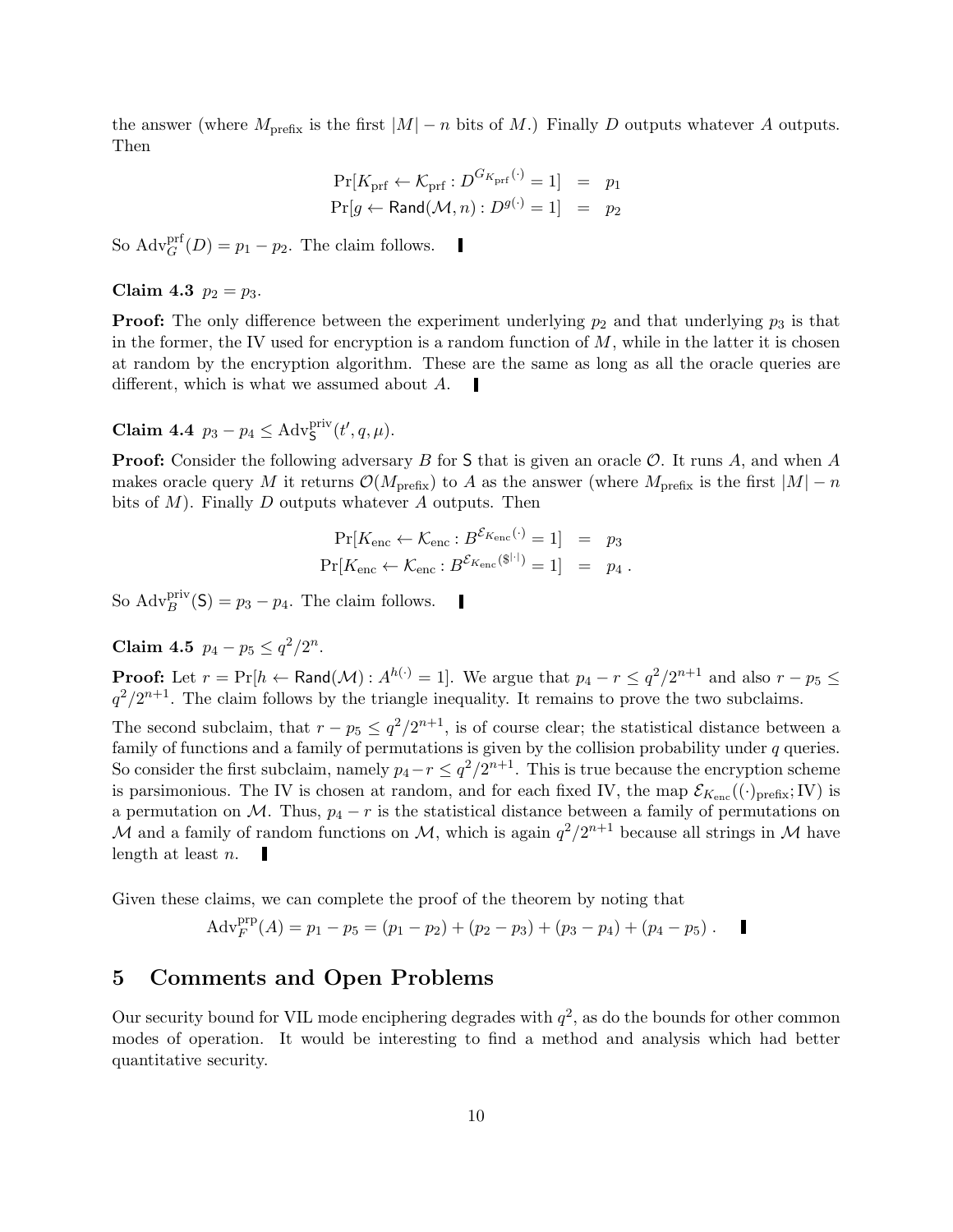the answer (where  $M_{\text{prefix}}$  is the first  $|M| - n$  bits of M.) Finally D outputs whatever A outputs. Then

$$
Pr[K_{\text{prf}} \leftarrow \mathcal{K}_{\text{prf}} : D^{G_{K_{\text{prf}}}(\cdot)} = 1] = p_1
$$
  

$$
Pr[g \leftarrow \text{Rand}(\mathcal{M}, n) : D^{g(\cdot)} = 1] = p_2
$$

So  $\text{Adv}_{G}^{\text{prf}}(D) = p_1 - p_2$ . The claim follows.

Claim 4.3  $p_2 = p_3$ .

**Proof:** The only difference between the experiment underlying  $p_2$  and that underlying  $p_3$  is that in the former, the IV used for encryption is a random function of  $M$ , while in the latter it is chosen at random by the encryption algorithm. These are the same as long as all the oracle queries are different, which is what we assumed about A.

Claim 4.4  $p_3 - p_4 \leq \text{Adv}_{\mathsf{S}}^{\text{priv}}(t', q, \mu).$ 

**Proof:** Consider the following adversary B for S that is given an oracle  $\mathcal{O}$ . It runs A, and when A makes oracle query M it returns  $\mathcal{O}(M_{\text{prefix}})$  to A as the answer (where  $M_{\text{prefix}}$  is the first  $|M| - n$ bits of  $M$ ). Finally  $D$  outputs whatever  $A$  outputs. Then

$$
\Pr[K_{\text{enc}} \leftarrow \mathcal{K}_{\text{enc}} : B^{\mathcal{E}_{K_{\text{enc}}}(\cdot)} = 1] = p_3
$$
  

$$
\Pr[K_{\text{enc}} \leftarrow \mathcal{K}_{\text{enc}} : B^{\mathcal{E}_{K_{\text{enc}}}(\$^{|\cdot|})} = 1] = p_4.
$$

So  $\text{Adv}_{B}^{\text{priv}}(\mathsf{S}) = p_3 - p_4$ . The claim follows.

Claim 4.5  $p_4 - p_5 \leq q^2/2^n$ .

**Proof:** Let  $r = Pr[h \leftarrow \text{Rand}(\mathcal{M}) : A^{h(\cdot)} = 1]$ . We argue that  $p_4 - r \leq q^2/2^{n+1}$  and also  $r - p_5 \leq$  $q^2/2^{n+1}$ . The claim follows by the triangle inequality. It remains to prove the two subclaims.

The second subclaim, that  $r - p_5 \leq q^2/2^{n+1}$ , is of course clear; the statistical distance between a family of functions and a family of permutations is given by the collision probability under  $q$  queries. So consider the first subclaim, namely  $p_4 - r \leq q^2/2^{n+1}$ . This is true because the encryption scheme is parsimonious. The IV is chosen at random, and for each fixed IV, the map  $\mathcal{E}_{K_{\text{enc}}}((\cdot)_{\text{prefix}}; \text{IV})$  is a permutation on M. Thus,  $p_4 - r$  is the statistical distance between a family of permutations on M and a family of random functions on M, which is again  $q^2/2^{n+1}$  because all strings in M have length at least n. I

Given these claims, we can complete the proof of the theorem by noting that

$$
Adv_F^{\text{prp}}(A) = p_1 - p_5 = (p_1 - p_2) + (p_2 - p_3) + (p_3 - p_4) + (p_4 - p_5).
$$

# 5 Comments and Open Problems

Our security bound for VIL mode enciphering degrades with  $q^2$ , as do the bounds for other common modes of operation. It would be interesting to find a method and analysis which had better quantitative security.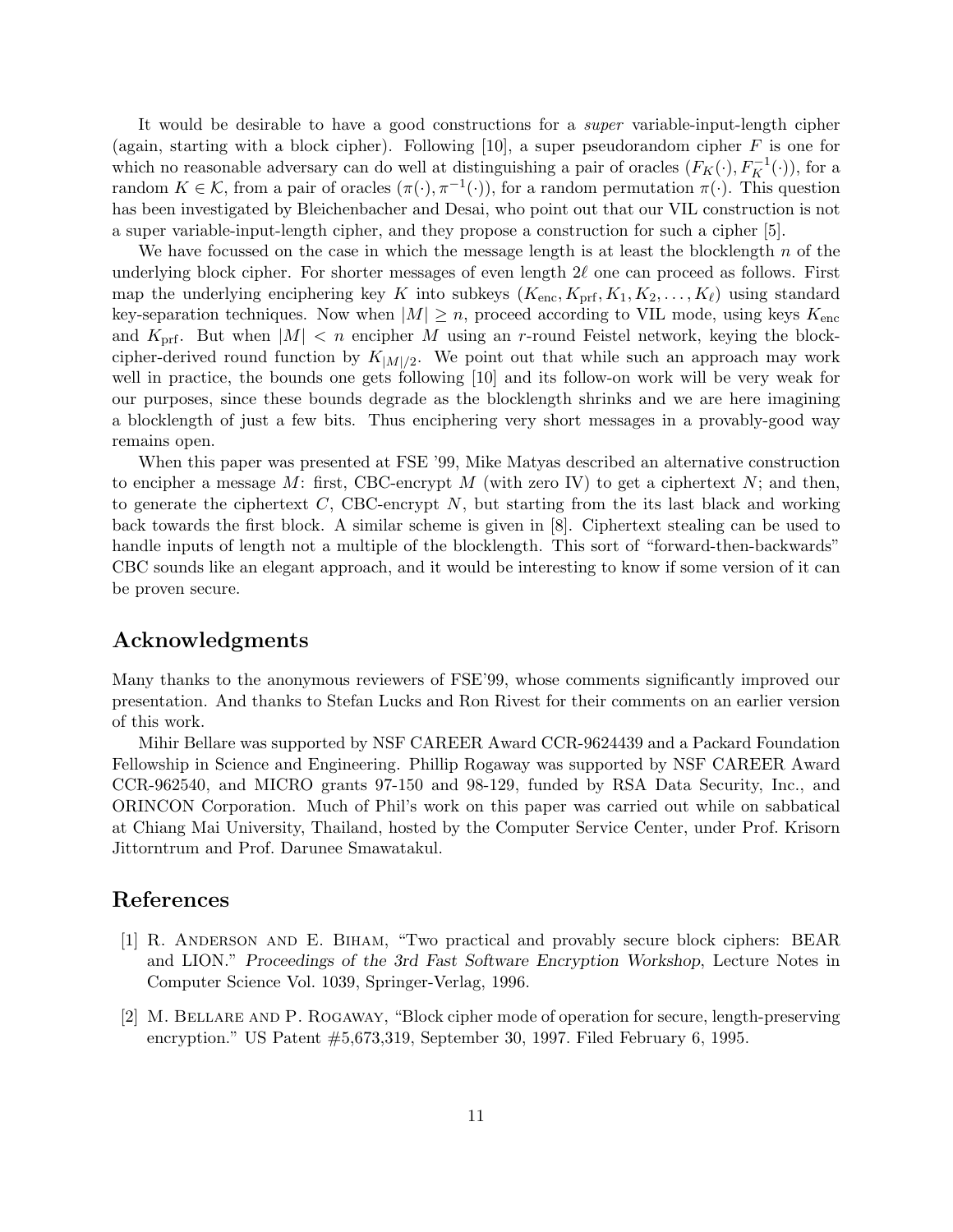It would be desirable to have a good constructions for a super variable-input-length cipher (again, starting with a block cipher). Following  $[10]$ , a super pseudorandom cipher F is one for which no reasonable adversary can do well at distinguishing a pair of oracles  $(F_K(\cdot), F_K^{-1}(\cdot))$ , for a random  $K \in \mathcal{K}$ , from a pair of oracles  $(\pi(\cdot), \pi^{-1}(\cdot))$ , for a random permutation  $\pi(\cdot)$ . This question has been investigated by Bleichenbacher and Desai, who point out that our VIL construction is not a super variable-input-length cipher, and they propose a construction for such a cipher [5].

We have focussed on the case in which the message length is at least the blocklength  $n$  of the underlying block cipher. For shorter messages of even length  $2\ell$  one can proceed as follows. First map the underlying enciphering key K into subkeys  $(K_{\text{enc}}, K_{\text{prf}}, K_1, K_2, \ldots, K_\ell)$  using standard key-separation techniques. Now when  $|M| \geq n$ , proceed according to VIL mode, using keys  $K_{\text{enc}}$ and  $K_{\text{prf}}$ . But when  $|M| < n$  encipher M using an r-round Feistel network, keying the blockcipher-derived round function by  $K_{|M|/2}$ . We point out that while such an approach may work well in practice, the bounds one gets following [10] and its follow-on work will be very weak for our purposes, since these bounds degrade as the blocklength shrinks and we are here imagining a blocklength of just a few bits. Thus enciphering very short messages in a provably-good way remains open.

When this paper was presented at FSE '99, Mike Matyas described an alternative construction to encipher a message M: first, CBC-encrypt M (with zero IV) to get a ciphertext  $N$ ; and then, to generate the ciphertext  $C$ , CBC-encrypt  $N$ , but starting from the its last black and working back towards the first block. A similar scheme is given in [8]. Ciphertext stealing can be used to handle inputs of length not a multiple of the blocklength. This sort of "forward-then-backwards" CBC sounds like an elegant approach, and it would be interesting to know if some version of it can be proven secure.

# Acknowledgments

Many thanks to the anonymous reviewers of FSE'99, whose comments significantly improved our presentation. And thanks to Stefan Lucks and Ron Rivest for their comments on an earlier version of this work.

Mihir Bellare was supported by NSF CAREER Award CCR-9624439 and a Packard Foundation Fellowship in Science and Engineering. Phillip Rogaway was supported by NSF CAREER Award CCR-962540, and MICRO grants 97-150 and 98-129, funded by RSA Data Security, Inc., and ORINCON Corporation. Much of Phil's work on this paper was carried out while on sabbatical at Chiang Mai University, Thailand, hosted by the Computer Service Center, under Prof. Krisorn Jittorntrum and Prof. Darunee Smawatakul.

# References

- [1] R. Anderson and E. Biham, "Two practical and provably secure block ciphers: BEAR and LION." Proceedings of the 3rd Fast Software Encryption Workshop, Lecture Notes in Computer Science Vol. 1039, Springer-Verlag, 1996.
- [2] M. Bellare and P. Rogaway, "Block cipher mode of operation for secure, length-preserving encryption." US Patent #5,673,319, September 30, 1997. Filed February 6, 1995.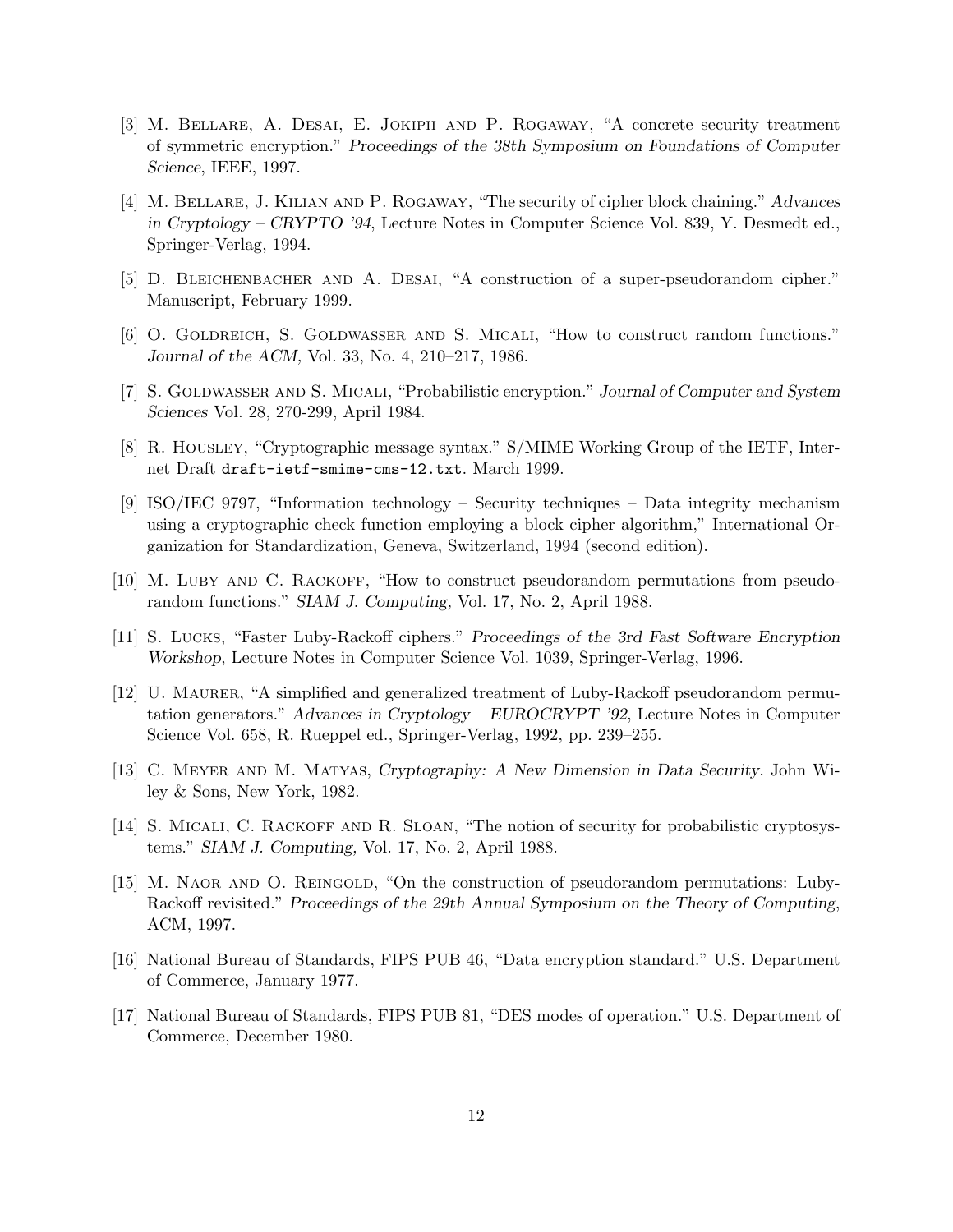- [3] M. Bellare, A. Desai, E. Jokipii and P. Rogaway, "A concrete security treatment of symmetric encryption." Proceedings of the 38th Symposium on Foundations of Computer Science, IEEE, 1997.
- [4] M. Bellare, J. Kilian and P. Rogaway, "The security of cipher block chaining." Advances in Cryptology – CRYPTO '94, Lecture Notes in Computer Science Vol. 839, Y. Desmedt ed., Springer-Verlag, 1994.
- [5] D. Bleichenbacher and A. Desai, "A construction of a super-pseudorandom cipher." Manuscript, February 1999.
- [6] O. Goldreich, S. Goldwasser and S. Micali, "How to construct random functions." Journal of the ACM, Vol. 33, No. 4, 210–217, 1986.
- [7] S. GOLDWASSER AND S. MICALI, "Probabilistic encryption." Journal of Computer and System Sciences Vol. 28, 270-299, April 1984.
- [8] R. Housley, "Cryptographic message syntax." S/MIME Working Group of the IETF, Internet Draft draft-ietf-smime-cms-12.txt. March 1999.
- [9] ISO/IEC 9797, "Information technology Security techniques Data integrity mechanism using a cryptographic check function employing a block cipher algorithm," International Organization for Standardization, Geneva, Switzerland, 1994 (second edition).
- [10] M. LUBY AND C. RACKOFF, "How to construct pseudorandom permutations from pseudorandom functions." SIAM J. Computing, Vol. 17, No. 2, April 1988.
- [11] S. Lucks, "Faster Luby-Rackoff ciphers." Proceedings of the 3rd Fast Software Encryption Workshop, Lecture Notes in Computer Science Vol. 1039, Springer-Verlag, 1996.
- [12] U. MAURER, "A simplified and generalized treatment of Luby-Rackoff pseudorandom permutation generators." Advances in Cryptology – EUROCRYPT '92, Lecture Notes in Computer Science Vol. 658, R. Rueppel ed., Springer-Verlag, 1992, pp. 239–255.
- [13] C. Meyer and M. Matyas, Cryptography: A New Dimension in Data Security. John Wiley & Sons, New York, 1982.
- [14] S. MICALI, C. RACKOFF AND R. SLOAN, "The notion of security for probabilistic cryptosystems." SIAM J. Computing, Vol. 17, No. 2, April 1988.
- [15] M. NAOR AND O. REINGOLD, "On the construction of pseudorandom permutations: Luby-Rackoff revisited." Proceedings of the 29th Annual Symposium on the Theory of Computing, ACM, 1997.
- [16] National Bureau of Standards, FIPS PUB 46, "Data encryption standard." U.S. Department of Commerce, January 1977.
- [17] National Bureau of Standards, FIPS PUB 81, "DES modes of operation." U.S. Department of Commerce, December 1980.